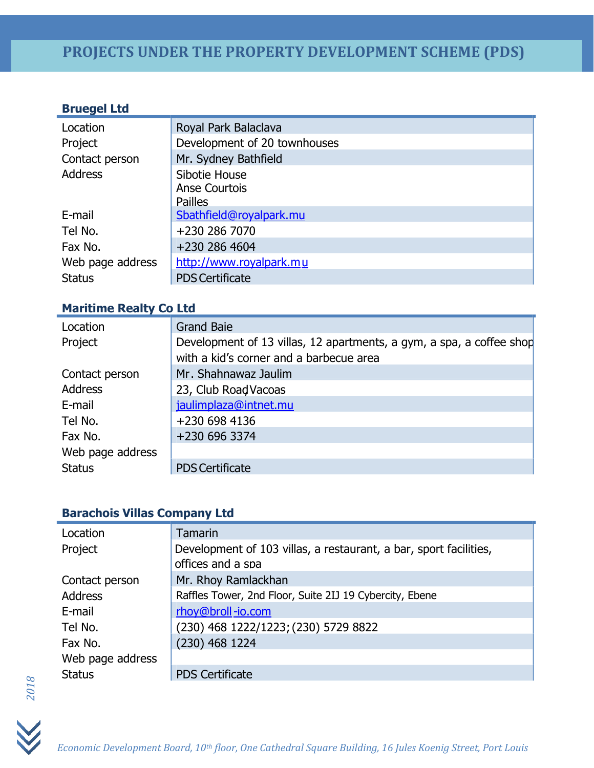### **Bruegel Ltd**

| Location         | Royal Park Balaclava         |
|------------------|------------------------------|
| Project          | Development of 20 townhouses |
| Contact person   | Mr. Sydney Bathfield         |
| <b>Address</b>   | Sibotie House                |
|                  | Anse Courtois                |
|                  | <b>Pailles</b>               |
| E-mail           | Sbathfield@royalpark.mu      |
| Tel No.          | +230 286 7070                |
| Fax No.          | +230 286 4604                |
| Web page address | http://www.royalpark.mu      |
| <b>Status</b>    | <b>PDS Certificate</b>       |

### **Maritime Realty Co Ltd**

| Location         | <b>Grand Baie</b>                                                                                               |
|------------------|-----------------------------------------------------------------------------------------------------------------|
| Project          | Development of 13 villas, 12 apartments, a gym, a spa, a coffee shop<br>with a kid's corner and a barbecue area |
| Contact person   | Mr. Shahnawaz Jaulim                                                                                            |
| <b>Address</b>   | 23, Club Road Vacoas                                                                                            |
| E-mail           | jaulimplaza@intnet.mu                                                                                           |
| Tel No.          | +230 698 4136                                                                                                   |
| Fax No.          | +230 696 3374                                                                                                   |
| Web page address |                                                                                                                 |
| <b>Status</b>    | <b>PDS Certificate</b>                                                                                          |

### **Barachois Villas Company Ltd**

| Location         | <b>Tamarin</b>                                                                         |
|------------------|----------------------------------------------------------------------------------------|
| Project          | Development of 103 villas, a restaurant, a bar, sport facilities,<br>offices and a spa |
| Contact person   | Mr. Rhoy Ramlackhan                                                                    |
| <b>Address</b>   | Raffles Tower, 2nd Floor, Suite 2IJ 19 Cybercity, Ebene                                |
| E-mail           | rhoy@broll-io.com                                                                      |
| Tel No.          | (230) 468 1222/1223; (230) 5729 8822                                                   |
| Fax No.          | $(230)$ 468 1224                                                                       |
| Web page address |                                                                                        |
| <b>Status</b>    | <b>PDS Certificate</b>                                                                 |

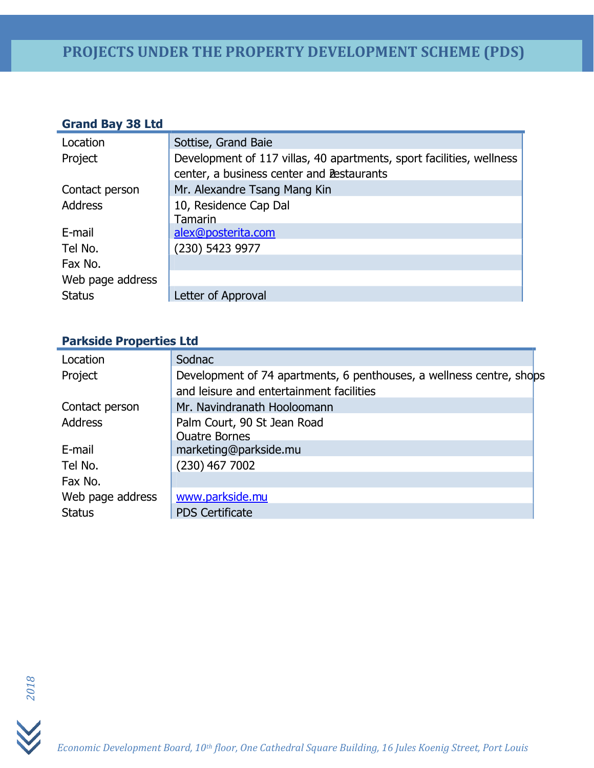### **Grand Bay 38 Ltd**

| Location         | Sottise, Grand Baie                                                                                               |
|------------------|-------------------------------------------------------------------------------------------------------------------|
| Project          | Development of 117 villas, 40 apartments, sport facilities, wellness<br>center, a business center and Bestaurants |
| Contact person   | Mr. Alexandre Tsang Mang Kin                                                                                      |
| <b>Address</b>   | 10, Residence Cap Dal<br>Tamarin                                                                                  |
| E-mail           | alex@posterita.com                                                                                                |
| Tel No.          | (230) 5423 9977                                                                                                   |
| Fax No.          |                                                                                                                   |
| Web page address |                                                                                                                   |
| <b>Status</b>    | Letter of Approval                                                                                                |

### **Parkside Properties Ltd**

| Location         | Sodnac                                                                                                           |
|------------------|------------------------------------------------------------------------------------------------------------------|
| Project          | Development of 74 apartments, 6 penthouses, a wellness centre, shops<br>and leisure and entertainment facilities |
| Contact person   | Mr. Navindranath Hooloomann                                                                                      |
| <b>Address</b>   | Palm Court, 90 St Jean Road<br><b>Ouatre Bornes</b>                                                              |
| E-mail           | marketing@parkside.mu                                                                                            |
| Tel No.          | $(230)$ 467 7002                                                                                                 |
| Fax No.          |                                                                                                                  |
| Web page address | www.parkside.mu                                                                                                  |
| <b>Status</b>    | <b>PDS Certificate</b>                                                                                           |



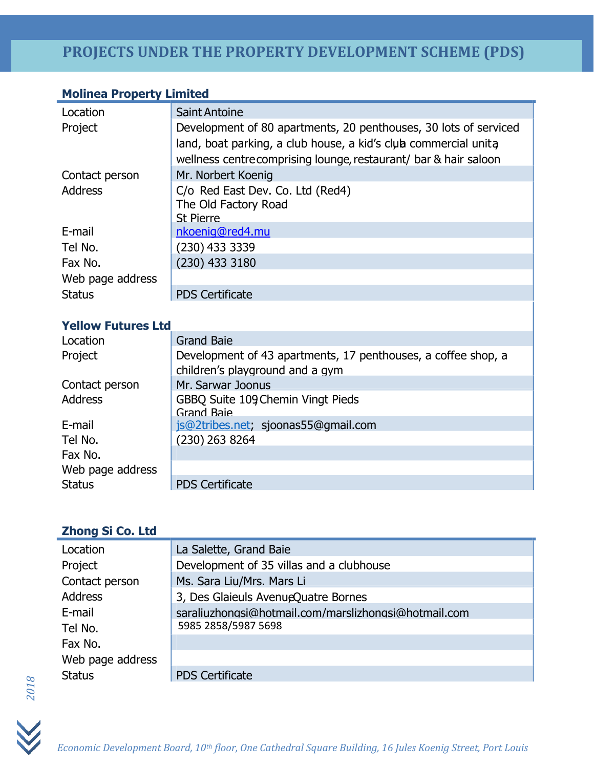### **Molinea Property Limited**

| Location         | <b>Saint Antoine</b>                                                                                                                                                                                    |
|------------------|---------------------------------------------------------------------------------------------------------------------------------------------------------------------------------------------------------|
| Project          | Development of 80 apartments, 20 penthouses, 30 lots of serviced<br>land, boat parking, a club house, a kid's club commercial unita<br>wellness centre comprising lounge, restaurant/ bar & hair saloon |
| Contact person   | Mr. Norbert Koenig                                                                                                                                                                                      |
| <b>Address</b>   | C/o Red East Dev. Co. Ltd (Red4)<br>The Old Factory Road<br><b>St Pierre</b>                                                                                                                            |
| E-mail           | nkoenig@red4.mu                                                                                                                                                                                         |
| Tel No.          | (230) 433 3339                                                                                                                                                                                          |
| Fax No.          | (230) 433 3180                                                                                                                                                                                          |
| Web page address |                                                                                                                                                                                                         |
| <b>Status</b>    | <b>PDS Certificate</b>                                                                                                                                                                                  |
|                  |                                                                                                                                                                                                         |

### **Yellow Futures Ltd**

| Location         | <b>Grand Baie</b>                                                                                |
|------------------|--------------------------------------------------------------------------------------------------|
| Project          | Development of 43 apartments, 17 penthouses, a coffee shop, a<br>children's playground and a gym |
| Contact person   | Mr. Sarwar Joonus                                                                                |
| <b>Address</b>   | GBBQ Suite 109 Chemin Vingt Pieds<br><b>Grand Baie</b>                                           |
| E-mail           | js@2tribes.net; sjoonas55@gmail.com                                                              |
| Tel No.          | $(230)$ 263 8264                                                                                 |
| Fax No.          |                                                                                                  |
| Web page address |                                                                                                  |
| <b>Status</b>    | <b>PDS Certificate</b>                                                                           |

## **Zhong Si Co. Ltd**

| Location         | La Salette, Grand Baie                               |
|------------------|------------------------------------------------------|
| Project          | Development of 35 villas and a clubhouse             |
| Contact person   | Ms. Sara Liu/Mrs. Mars Li                            |
| <b>Address</b>   | 3, Des Glaieuls AvenueQuatre Bornes                  |
| E-mail           | saraliuzhongsi@hotmail.com/marslizhongsi@hotmail.com |
| Tel No.          | 5985 2858/5987 5698                                  |
| Fax No.          |                                                      |
| Web page address |                                                      |
| <b>Status</b>    | <b>PDS Certificate</b>                               |



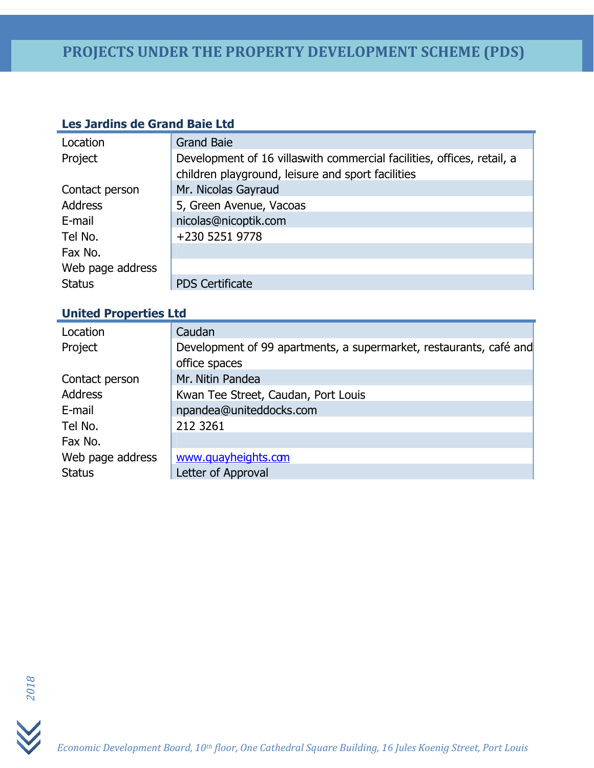### **Les Jardins de Grand Baie Ltd**

| Location         | <b>Grand Baie</b>                                                       |
|------------------|-------------------------------------------------------------------------|
| Project          | Development of 16 villas with commercial facilities, offices, retail, a |
|                  | children playground, leisure and sport facilities                       |
| Contact person   | Mr. Nicolas Gayraud                                                     |
| <b>Address</b>   | 5, Green Avenue, Vacoas                                                 |
| E-mail           | nicolas@nicoptik.com                                                    |
| Tel No.          | +230 5251 9778                                                          |
| Fax No.          |                                                                         |
| Web page address |                                                                         |
| <b>Status</b>    | <b>PDS Certificate</b>                                                  |

### **United Properties Ltd**

| Location         | Caudan                                                             |
|------------------|--------------------------------------------------------------------|
| Project          | Development of 99 apartments, a supermarket, restaurants, café and |
|                  | office spaces                                                      |
| Contact person   | Mr. Nitin Pandea                                                   |
| <b>Address</b>   | Kwan Tee Street, Caudan, Port Louis                                |
| E-mail           | npandea@uniteddocks.com                                            |
| Tel No.          | 212 3261                                                           |
| Fax No.          |                                                                    |
| Web page address | www.quayheights.com                                                |
| <b>Status</b>    | Letter of Approval                                                 |

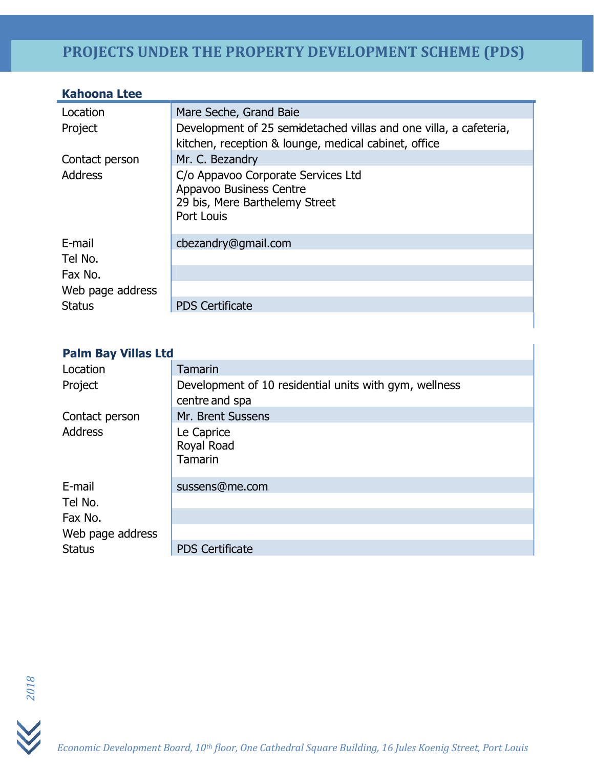### **Kahoona Ltee**

| Location         | Mare Seche, Grand Baie                                                                                                    |
|------------------|---------------------------------------------------------------------------------------------------------------------------|
| Project          | Development of 25 semidetached villas and one villa, a cafeteria,<br>kitchen, reception & lounge, medical cabinet, office |
| Contact person   | Mr. C. Bezandry                                                                                                           |
| <b>Address</b>   | C/o Appavoo Corporate Services Ltd<br>Appavoo Business Centre<br>29 bis, Mere Barthelemy Street<br>Port Louis             |
| E-mail           | cbezandry@gmail.com                                                                                                       |
| Tel No.          |                                                                                                                           |
| Fax No.          |                                                                                                                           |
| Web page address |                                                                                                                           |
| <b>Status</b>    | <b>PDS Certificate</b>                                                                                                    |

ı

### **Palm Bay Villas Ltd**

| Location         | <b>Tamarin</b>                                         |
|------------------|--------------------------------------------------------|
| Project          | Development of 10 residential units with gym, wellness |
|                  | centre and spa                                         |
| Contact person   | Mr. Brent Sussens                                      |
| <b>Address</b>   | Le Caprice<br>Royal Road<br><b>Tamarin</b>             |
| E-mail           | sussens@me.com                                         |
| Tel No.          |                                                        |
| Fax No.          |                                                        |
| Web page address |                                                        |
| <b>Status</b>    | <b>PDS Certificate</b>                                 |



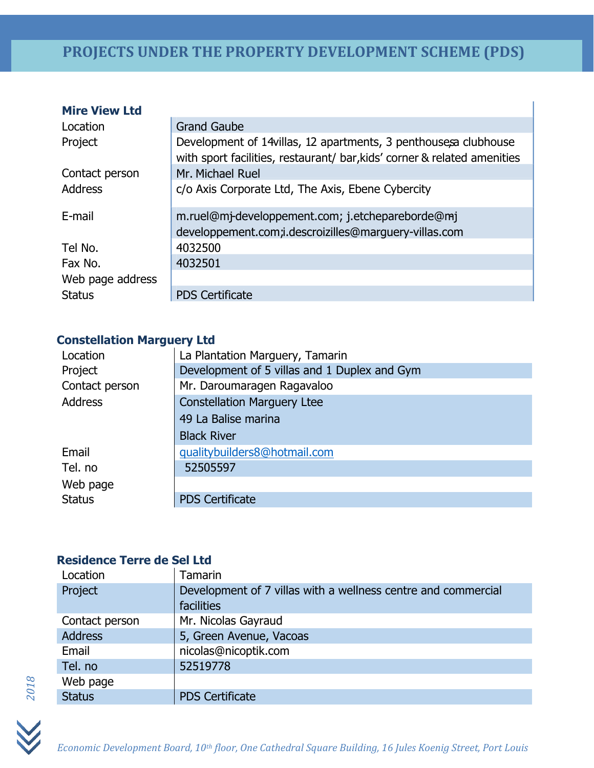| <b>Mire View Ltd</b> |                                                                                                                                              |
|----------------------|----------------------------------------------------------------------------------------------------------------------------------------------|
| Location             | <b>Grand Gaube</b>                                                                                                                           |
| Project              | Development of 14 villas, 12 apartments, 3 penthouses aclubhouse<br>with sport facilities, restaurant/ bar, kids' corner & related amenities |
| Contact person       | Mr. Michael Ruel                                                                                                                             |
| <b>Address</b>       | c/o Axis Corporate Ltd, The Axis, Ebene Cybercity                                                                                            |
| E-mail               | m.ruel@mj-developpement.com; j.etchepareborde@mj<br>developpement.com;i.descroizilles@marguery-villas.com                                    |
| Tel No.              | 4032500                                                                                                                                      |
| Fax No.              | 4032501                                                                                                                                      |
| Web page address     |                                                                                                                                              |
| <b>Status</b>        | <b>PDS Certificate</b>                                                                                                                       |

### **Constellation Marguery Ltd**

| Location       | La Plantation Marguery, Tamarin              |
|----------------|----------------------------------------------|
| Project        | Development of 5 villas and 1 Duplex and Gym |
| Contact person | Mr. Daroumaragen Ragavaloo                   |
| <b>Address</b> | <b>Constellation Marguery Ltee</b>           |
|                | 49 La Balise marina                          |
|                | <b>Black River</b>                           |
| Email          | gualitybuilders8@hotmail.com                 |
| Tel. no        | 52505597                                     |
| Web page       |                                              |
| <b>Status</b>  | <b>PDS Certificate</b>                       |

### **Residence Terre de Sel Ltd**

| Location       | Tamarin                                                                     |
|----------------|-----------------------------------------------------------------------------|
| Project        | Development of 7 villas with a wellness centre and commercial<br>facilities |
| Contact person | Mr. Nicolas Gayraud                                                         |
| <b>Address</b> | 5, Green Avenue, Vacoas                                                     |
| Email          | nicolas@nicoptik.com                                                        |
| Tel. no        | 52519778                                                                    |
| Web page       |                                                                             |
| <b>Status</b>  | <b>PDS Certificate</b>                                                      |

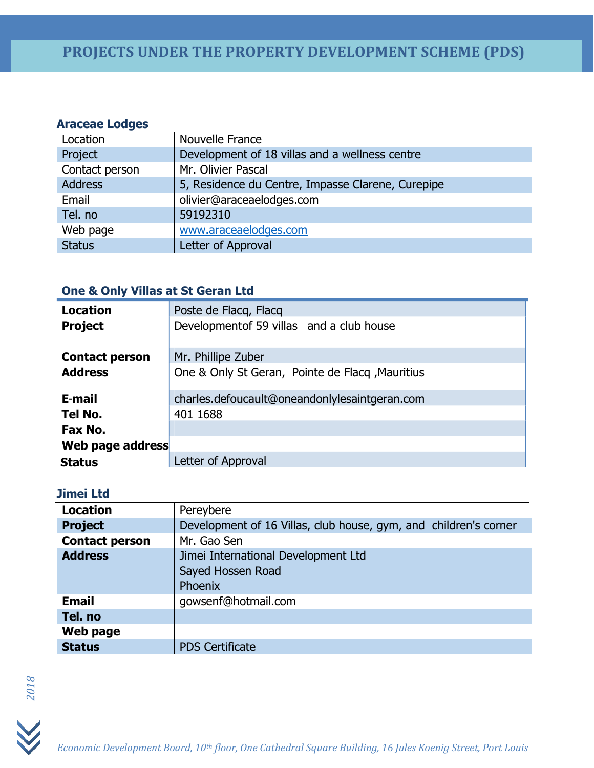### **Araceae Lodges**

| Location       | Nouvelle France                                   |
|----------------|---------------------------------------------------|
| Project        | Development of 18 villas and a wellness centre    |
| Contact person | Mr. Olivier Pascal                                |
| <b>Address</b> | 5, Residence du Centre, Impasse Clarene, Curepipe |
| Email          | olivier@araceaelodges.com                         |
| Tel. no        | 59192310                                          |
| Web page       | www.araceaelodges.com                             |
| <b>Status</b>  | Letter of Approval                                |

### **One & Only Villas at St Geran Ltd**

| <b>Location</b>       | Poste de Flacq, Flacq                           |
|-----------------------|-------------------------------------------------|
| <b>Project</b>        | Development of 59 villas and a club house       |
| <b>Contact person</b> | Mr. Phillipe Zuber                              |
| <b>Address</b>        | One & Only St Geran, Pointe de Flacq, Mauritius |
| E-mail                | charles.defoucault@oneandonlylesaintgeran.com   |
| Tel No.               | 401 1688                                        |
| Fax No.               |                                                 |
| Web page address      |                                                 |
| <b>Status</b>         | Letter of Approval                              |

### **Jimei Ltd**

| <b>Location</b>       | Pereybere                                                           |
|-----------------------|---------------------------------------------------------------------|
| <b>Project</b>        | Development of 16 Villas, club house, gym, and children's corner    |
| <b>Contact person</b> | Mr. Gao Sen                                                         |
| <b>Address</b>        | Jimei International Development Ltd<br>Sayed Hossen Road<br>Phoenix |
| <b>Email</b>          | gowsenf@hotmail.com                                                 |
| Tel. no               |                                                                     |
| Web page              |                                                                     |
| <b>Status</b>         | <b>PDS Certificate</b>                                              |



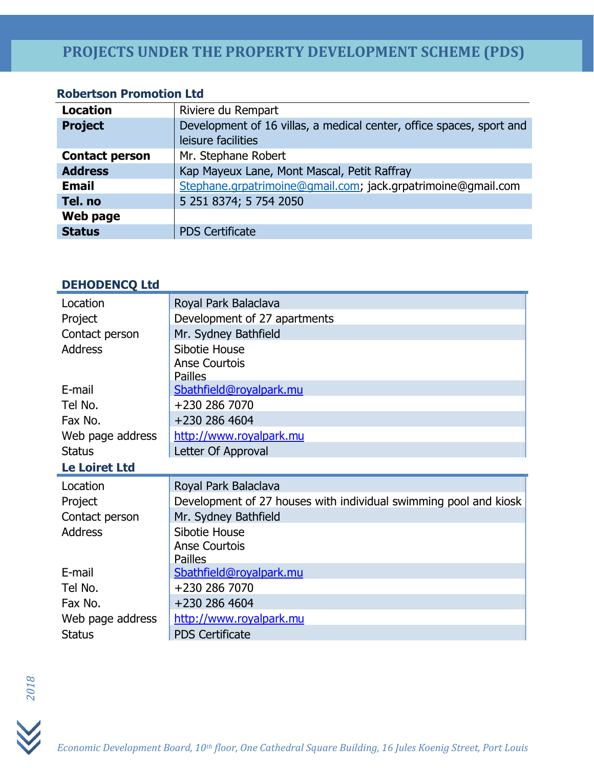### **Robertson Promotion Ltd**

| <b>Location</b>       | Riviere du Rempart                                                   |
|-----------------------|----------------------------------------------------------------------|
| <b>Project</b>        | Development of 16 villas, a medical center, office spaces, sport and |
|                       | leisure facilities                                                   |
| <b>Contact person</b> | Mr. Stephane Robert                                                  |
| <b>Address</b>        | Kap Mayeux Lane, Mont Mascal, Petit Raffray                          |
| <b>Email</b>          | Stephane.grpatrimoine@gmail.com; jack.grpatrimoine@gmail.com         |
| Tel. no               | 5 251 8374; 5 754 2050                                               |
| Web page              |                                                                      |
| <b>Status</b>         | <b>PDS Certificate</b>                                               |

### **DEHODENCQ Ltd**

| Location                           | Royal Park Balaclava                                             |
|------------------------------------|------------------------------------------------------------------|
| Project                            | Development of 27 apartments                                     |
| Contact person                     | Mr. Sydney Bathfield                                             |
| <b>Address</b>                     | Sibotie House                                                    |
|                                    | <b>Anse Courtois</b>                                             |
|                                    | <b>Pailles</b>                                                   |
| E-mail                             | Sbathfield@royalpark.mu                                          |
| Tel No.                            | +230 286 7070                                                    |
| Fax No.                            | +230 286 4604                                                    |
| Web page address                   | http://www.royalpark.mu                                          |
| <b>Status</b>                      | Letter Of Approval                                               |
| <b>Le Loiret Ltd</b>               |                                                                  |
|                                    |                                                                  |
| Location                           | Royal Park Balaclava                                             |
| Project                            | Development of 27 houses with individual swimming pool and kiosk |
| Contact person                     | Mr. Sydney Bathfield                                             |
|                                    | Sibotie House                                                    |
|                                    | <b>Anse Courtois</b>                                             |
|                                    | <b>Pailles</b>                                                   |
| E-mail                             | Sbathfield@royalpark.mu                                          |
| Tel No.                            | +230 286 7070                                                    |
| Fax No.                            | +230 286 4604                                                    |
| <b>Address</b><br>Web page address | http://www.royalpark.mu                                          |



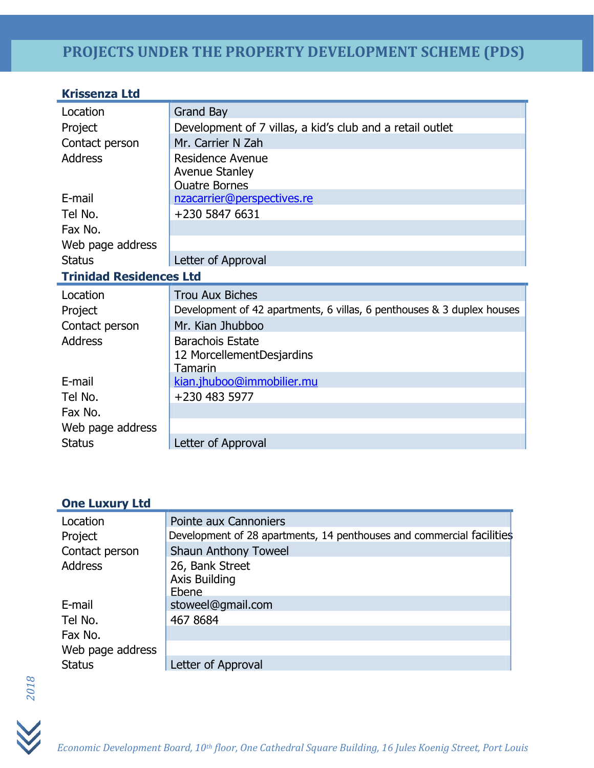| <b>Krissenza Ltd</b>           |                                                                        |
|--------------------------------|------------------------------------------------------------------------|
| Location                       | <b>Grand Bay</b>                                                       |
| Project                        | Development of 7 villas, a kid's club and a retail outlet              |
| Contact person                 | Mr. Carrier N Zah                                                      |
| <b>Address</b>                 | Residence Avenue<br><b>Avenue Stanley</b><br><b>Ouatre Bornes</b>      |
| E-mail                         | nzacarrier@perspectives.re                                             |
| Tel No.                        | +230 5847 6631                                                         |
| Fax No.                        |                                                                        |
| Web page address               |                                                                        |
| <b>Status</b>                  | Letter of Approval                                                     |
| <b>Trinidad Residences Ltd</b> |                                                                        |
| Location                       | <b>Trou Aux Biches</b>                                                 |
| Project                        | Development of 42 apartments, 6 villas, 6 penthouses & 3 duplex houses |
| Contact person                 | Mr. Kian Jhubboo                                                       |
| <b>Address</b>                 | <b>Barachois Estate</b><br>12 MorcellementDesjardins<br>Tamarin        |
| E-mail                         | kian.jhuboo@immobilier.mu                                              |
| Tel No.                        | +230 483 5977                                                          |
| Fax No.                        |                                                                        |
| Web page address               |                                                                        |
| <b>Status</b>                  | Letter of Approval                                                     |

### **One Luxury Ltd**

| Location         | Pointe aux Cannoniers                                                 |
|------------------|-----------------------------------------------------------------------|
| Project          | Development of 28 apartments, 14 penthouses and commercial facilities |
| Contact person   | <b>Shaun Anthony Toweel</b>                                           |
| <b>Address</b>   | 26, Bank Street<br><b>Axis Building</b><br><b>Fhene</b>               |
| E-mail           | stoweel@gmail.com                                                     |
| Tel No.          | 467 8684                                                              |
| Fax No.          |                                                                       |
| Web page address |                                                                       |
| <b>Status</b>    | Letter of Approval                                                    |



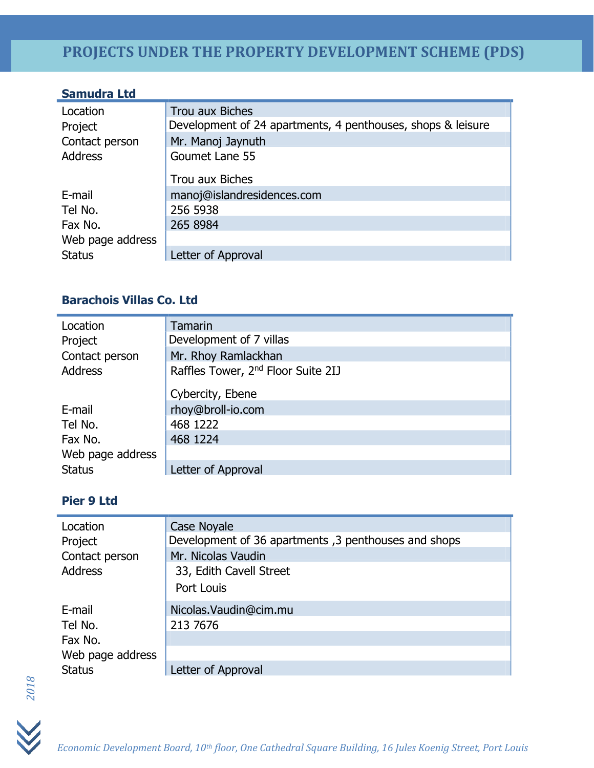| <b>Samudra Ltd</b> |                                                             |
|--------------------|-------------------------------------------------------------|
| Location           | Trou aux Biches                                             |
| Project            | Development of 24 apartments, 4 penthouses, shops & leisure |
| Contact person     | Mr. Manoj Jaynuth                                           |
| <b>Address</b>     | Goumet Lane 55                                              |
|                    | Trou aux Biches                                             |
| E-mail             | manoj@islandresidences.com                                  |
| Tel No.            | 256 5938                                                    |
| Fax No.            | 265 8984                                                    |
| Web page address   |                                                             |
| <b>Status</b>      | Letter of Approval                                          |

### **Barachois Villas Co. Ltd**

| Location         | <b>Tamarin</b>                                 |
|------------------|------------------------------------------------|
| Project          | Development of 7 villas                        |
| Contact person   | Mr. Rhoy Ramlackhan                            |
| <b>Address</b>   | Raffles Tower, 2 <sup>nd</sup> Floor Suite 2IJ |
|                  |                                                |
|                  | Cybercity, Ebene                               |
| E-mail           | rhoy@broll-io.com                              |
| Tel No.          | 468 1222                                       |
| Fax No.          | 468 1224                                       |
| Web page address |                                                |
| <b>Status</b>    | Letter of Approval                             |

### **Pier 9 Ltd**

| Location         | <b>Case Noyale</b>                                   |
|------------------|------------------------------------------------------|
| Project          | Development of 36 apartments, 3 penthouses and shops |
| Contact person   | Mr. Nicolas Vaudin                                   |
| <b>Address</b>   | 33, Edith Cavell Street                              |
|                  | Port Louis                                           |
| E-mail           | Nicolas. Vaudin@cim.mu                               |
| Tel No.          | 213 7676                                             |
| Fax No.          |                                                      |
| Web page address |                                                      |
| <b>Status</b>    | Letter of Approval                                   |



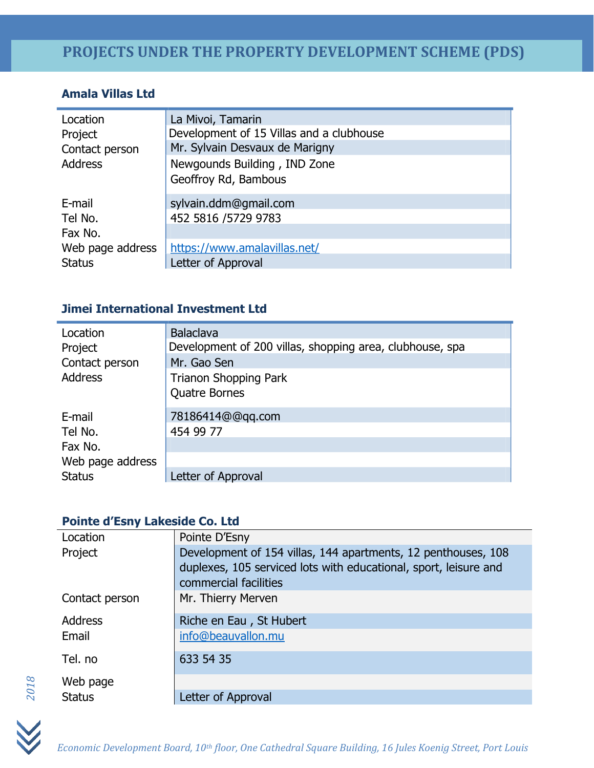### **Amala Villas Ltd**

| Location                         | La Mivoi, Tamarin                                    |
|----------------------------------|------------------------------------------------------|
| Project                          | Development of 15 Villas and a clubhouse             |
| Contact person<br><b>Address</b> | Mr. Sylvain Desvaux de Marigny                       |
|                                  | Newgounds Building, IND Zone<br>Geoffroy Rd, Bambous |
| E-mail                           | sylvain.ddm@gmail.com                                |
| Tel No.                          | 452 5816 / 5729 9783                                 |
| Fax No.                          |                                                      |
| Web page address                 | https://www.amalavillas.net/                         |
| <b>Status</b>                    | Letter of Approval                                   |

### **Jimei International Investment Ltd**

| Location         | <b>Balaclava</b>                                         |
|------------------|----------------------------------------------------------|
| Project          | Development of 200 villas, shopping area, clubhouse, spa |
| Contact person   | Mr. Gao Sen                                              |
| <b>Address</b>   | <b>Trianon Shopping Park</b>                             |
|                  | <b>Quatre Bornes</b>                                     |
| E-mail           | 78186414@@qq.com                                         |
| Tel No.          | 454 99 77                                                |
| Fax No.          |                                                          |
| Web page address |                                                          |
| <b>Status</b>    | Letter of Approval                                       |

### **Pointe d'Esny Lakeside Co. Ltd**

| Location       | Pointe D'Esny                                                                                                                                              |
|----------------|------------------------------------------------------------------------------------------------------------------------------------------------------------|
| Project        | Development of 154 villas, 144 apartments, 12 penthouses, 108<br>duplexes, 105 serviced lots with educational, sport, leisure and<br>commercial facilities |
| Contact person | Mr. Thierry Merven                                                                                                                                         |
| <b>Address</b> | Riche en Eau, St Hubert                                                                                                                                    |
| Email          | info@beauvallon.mu                                                                                                                                         |
| Tel. no        | 633 54 35                                                                                                                                                  |
| Web page       |                                                                                                                                                            |
| <b>Status</b>  | Letter of Approval                                                                                                                                         |



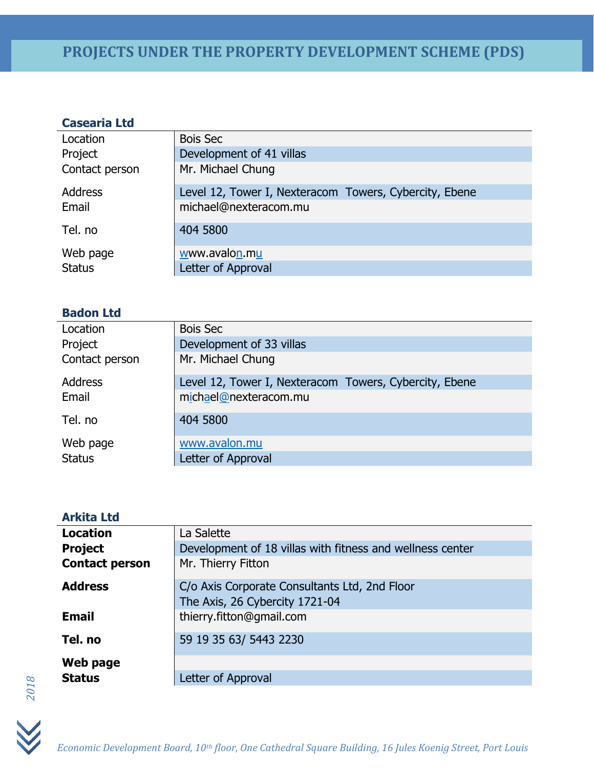### **Casearia Ltd**

| Location       | <b>Bois Sec</b>                                        |
|----------------|--------------------------------------------------------|
| Project        | Development of 41 villas                               |
| Contact person | Mr. Michael Chung                                      |
| Address        | Level 12, Tower I, Nexteracom Towers, Cybercity, Ebene |
| Email          | michael@nexteracom.mu                                  |
| Tel. no        | 404 5800                                               |
| Web page       | www.avalon.mu                                          |
| <b>Status</b>  | Letter of Approval                                     |

### **Badon Ltd**

| Location       | <b>Bois Sec</b>                                        |
|----------------|--------------------------------------------------------|
| Project        | Development of 33 villas                               |
| Contact person | Mr. Michael Chung                                      |
| <b>Address</b> | Level 12, Tower I, Nexteracom Towers, Cybercity, Ebene |
| Email          | michael@nexteracom.mu                                  |
| Tel. no        | 404 5800                                               |
| Web page       | www.avalon.mu                                          |
| <b>Status</b>  | Letter of Approval                                     |

#### **Arkita Ltd**

| La Salette                                                                      |
|---------------------------------------------------------------------------------|
| Development of 18 villas with fitness and wellness center                       |
| Mr. Thierry Fitton                                                              |
| C/o Axis Corporate Consultants Ltd, 2nd Floor<br>The Axis, 26 Cybercity 1721-04 |
| thierry.fitton@gmail.com                                                        |
| 59 19 35 63/ 5443 2230                                                          |
|                                                                                 |
| Letter of Approval                                                              |
|                                                                                 |



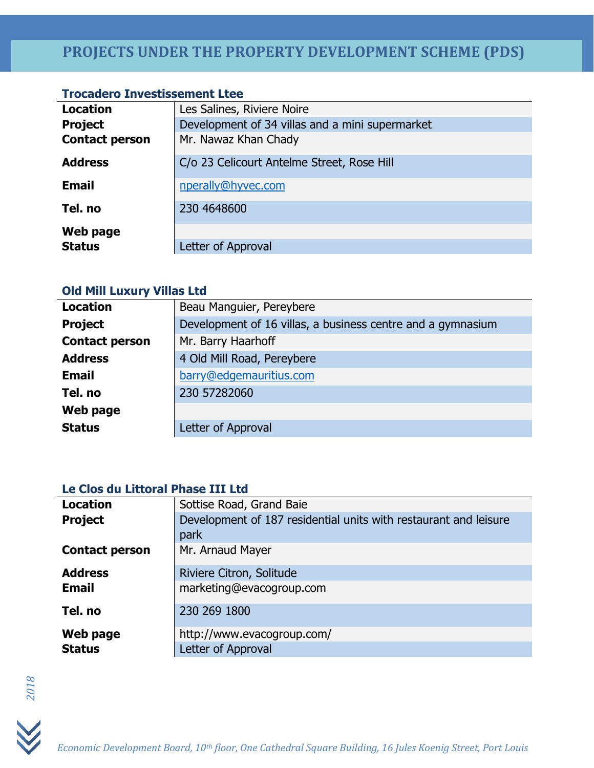### **Trocadero Investissement Ltee**

| <b>Location</b>       | Les Salines, Riviere Noire                      |
|-----------------------|-------------------------------------------------|
| <b>Project</b>        | Development of 34 villas and a mini supermarket |
| <b>Contact person</b> | Mr. Nawaz Khan Chady                            |
| <b>Address</b>        | C/o 23 Celicourt Antelme Street, Rose Hill      |
| <b>Email</b>          | nperally@hyvec.com                              |
| Tel. no               | 230 4648600                                     |
| Web page              |                                                 |
| <b>Status</b>         | Letter of Approval                              |

### **Old Mill Luxury Villas Ltd**

| <b>Location</b>       | Beau Manguier, Pereybere                                    |
|-----------------------|-------------------------------------------------------------|
| <b>Project</b>        | Development of 16 villas, a business centre and a gymnasium |
| <b>Contact person</b> | Mr. Barry Haarhoff                                          |
| <b>Address</b>        | 4 Old Mill Road, Pereybere                                  |
| <b>Email</b>          | barry@edgemauritius.com                                     |
| Tel. no               | 230 57282060                                                |
| Web page              |                                                             |
| <b>Status</b>         | Letter of Approval                                          |

### **Le Clos du Littoral Phase III Ltd**

| <b>Location</b>       | Sottise Road, Grand Baie                                         |
|-----------------------|------------------------------------------------------------------|
| <b>Project</b>        | Development of 187 residential units with restaurant and leisure |
|                       | park                                                             |
| <b>Contact person</b> | Mr. Arnaud Mayer                                                 |
| <b>Address</b>        | Riviere Citron, Solitude                                         |
| <b>Email</b>          | marketing@evacogroup.com                                         |
| Tel. no               | 230 269 1800                                                     |
| Web page              | http://www.evacogroup.com/                                       |
| <b>Status</b>         | Letter of Approval                                               |

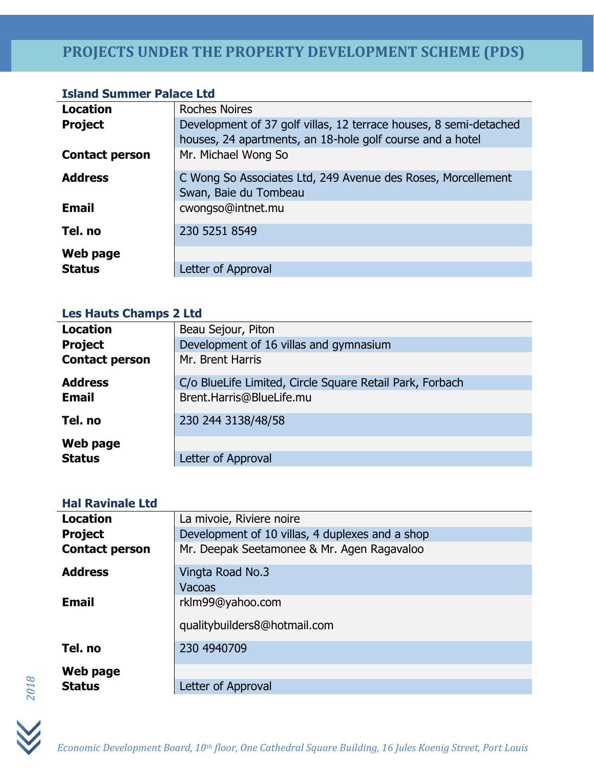### **Island Summer Palace Ltd**

| <b>Location</b>       | <b>Roches Noires</b>                                                                  |
|-----------------------|---------------------------------------------------------------------------------------|
| <b>Project</b>        | Development of 37 golf villas, 12 terrace houses, 8 semi-detached                     |
|                       | houses, 24 apartments, an 18-hole golf course and a hotel                             |
| <b>Contact person</b> | Mr. Michael Wong So                                                                   |
| <b>Address</b>        | C Wong So Associates Ltd, 249 Avenue des Roses, Morcellement<br>Swan, Baie du Tombeau |
| <b>Email</b>          | cwongso@intnet.mu                                                                     |
| Tel. no               | 230 5251 8549                                                                         |
| Web page              |                                                                                       |
| <b>Status</b>         | Letter of Approval                                                                    |

### **Les Hauts Champs 2 Ltd**

| <b>Location</b>       | Beau Sejour, Piton                                       |
|-----------------------|----------------------------------------------------------|
| <b>Project</b>        | Development of 16 villas and gymnasium                   |
| <b>Contact person</b> | Mr. Brent Harris                                         |
| <b>Address</b>        | C/o BlueLife Limited, Circle Square Retail Park, Forbach |
| <b>Email</b>          | Brent.Harris@BlueLife.mu                                 |
| Tel. no               | 230 244 3138/48/58                                       |
| Web page              |                                                          |
| <b>Status</b>         | Letter of Approval                                       |

### **Hal Ravinale Ltd**

| <b>Location</b>       | La mivoie, Riviere noire                        |
|-----------------------|-------------------------------------------------|
| <b>Project</b>        | Development of 10 villas, 4 duplexes and a shop |
| <b>Contact person</b> | Mr. Deepak Seetamonee & Mr. Agen Ragavaloo      |
| <b>Address</b>        | Vingta Road No.3                                |
|                       | Vacoas                                          |
| <b>Email</b>          | rklm99@yahoo.com                                |
|                       | qualitybuilders8@hotmail.com                    |
| Tel. no               | 230 4940709                                     |
| Web page              |                                                 |
| <b>Status</b>         | Letter of Approval                              |

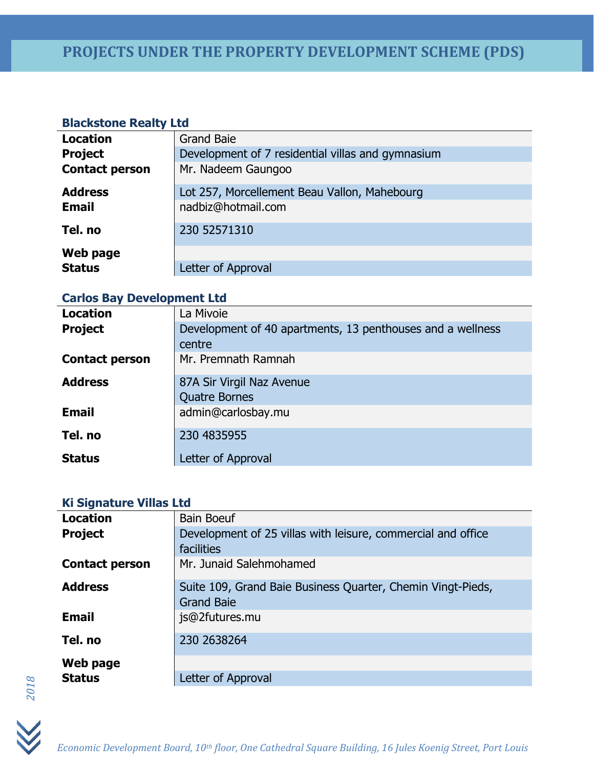### **Blackstone Realty Ltd**

| <b>Grand Baie</b>                                 |
|---------------------------------------------------|
| Development of 7 residential villas and gymnasium |
| Mr. Nadeem Gaungoo                                |
| Lot 257, Morcellement Beau Vallon, Mahebourg      |
| nadbiz@hotmail.com                                |
| 230 52571310                                      |
|                                                   |
| Letter of Approval                                |
|                                                   |

### **Carlos Bay Development Ltd**

| <b>Location</b>       | La Mivoie                                                  |
|-----------------------|------------------------------------------------------------|
| <b>Project</b>        | Development of 40 apartments, 13 penthouses and a wellness |
|                       | centre                                                     |
| <b>Contact person</b> | Mr. Premnath Ramnah                                        |
| <b>Address</b>        | 87A Sir Virgil Naz Avenue                                  |
|                       | <b>Quatre Bornes</b>                                       |
| <b>Email</b>          | admin@carlosbay.mu                                         |
| Tel. no               | 230 4835955                                                |
| <b>Status</b>         | Letter of Approval                                         |

### **Ki Signature Villas Ltd**

| <b>Location</b>       | <b>Bain Boeuf</b>                                                                |
|-----------------------|----------------------------------------------------------------------------------|
| <b>Project</b>        | Development of 25 villas with leisure, commercial and office                     |
|                       | facilities                                                                       |
| <b>Contact person</b> | Mr. Junaid Salehmohamed                                                          |
| <b>Address</b>        | Suite 109, Grand Baie Business Quarter, Chemin Vingt-Pieds,<br><b>Grand Baie</b> |
| <b>Email</b>          | js@2futures.mu                                                                   |
| Tel. no               | 230 2638264                                                                      |
| Web page              |                                                                                  |
| <b>Status</b>         | Letter of Approval                                                               |



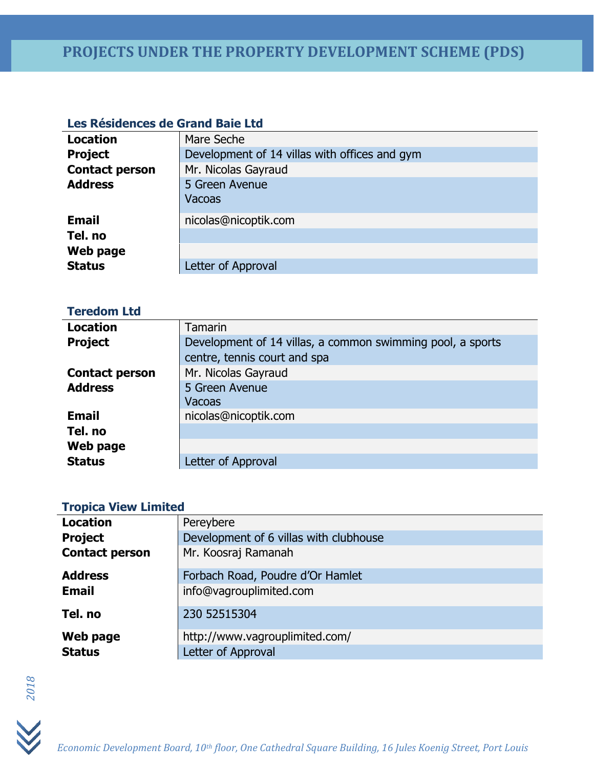### **Les Résidences de Grand Baie Ltd**

| <b>Location</b>       | Mare Seche                                    |
|-----------------------|-----------------------------------------------|
| <b>Project</b>        | Development of 14 villas with offices and gym |
| <b>Contact person</b> | Mr. Nicolas Gayraud                           |
| <b>Address</b>        | 5 Green Avenue                                |
|                       | Vacoas                                        |
| <b>Email</b>          | nicolas@nicoptik.com                          |
| Tel. no               |                                               |
| Web page              |                                               |
| <b>Status</b>         | Letter of Approval                            |

| <b>Teredom Ltd</b>    |                                                            |
|-----------------------|------------------------------------------------------------|
| <b>Location</b>       | <b>Tamarin</b>                                             |
| <b>Project</b>        | Development of 14 villas, a common swimming pool, a sports |
|                       | centre, tennis court and spa                               |
| <b>Contact person</b> | Mr. Nicolas Gayraud                                        |
| <b>Address</b>        | 5 Green Avenue                                             |
|                       | Vacoas                                                     |
| <b>Email</b>          | nicolas@nicoptik.com                                       |
| Tel. no               |                                                            |
| Web page              |                                                            |
| <b>Status</b>         | Letter of Approval                                         |
|                       |                                                            |

### **Tropica View Limited**

| <b>Location</b>       | Pereybere                              |
|-----------------------|----------------------------------------|
| <b>Project</b>        | Development of 6 villas with clubhouse |
| <b>Contact person</b> | Mr. Koosraj Ramanah                    |
| <b>Address</b>        | Forbach Road, Poudre d'Or Hamlet       |
| <b>Email</b>          | info@vagrouplimited.com                |
| Tel. no               | 230 52515304                           |
| Web page              | http://www.vagrouplimited.com/         |
| <b>Status</b>         | Letter of Approval                     |
|                       |                                        |



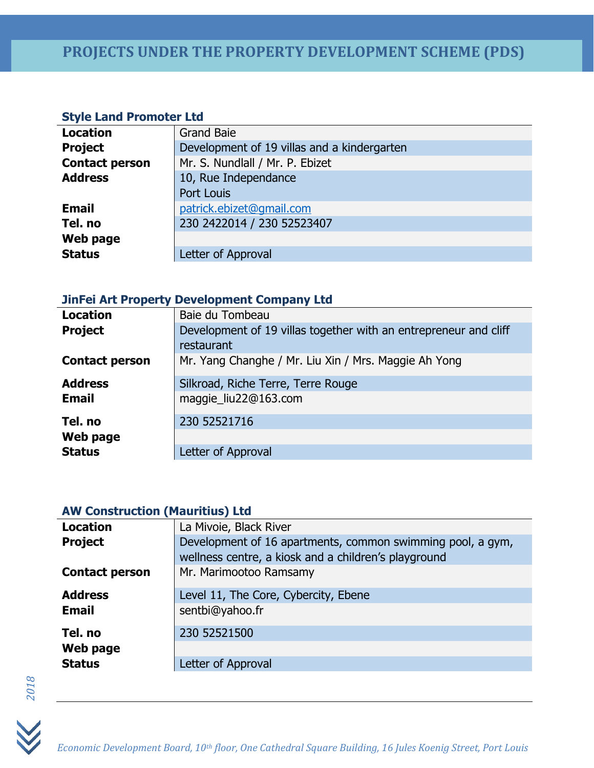### **Style Land Promoter Ltd**

| <b>Location</b>       | <b>Grand Baie</b>                           |
|-----------------------|---------------------------------------------|
| <b>Project</b>        | Development of 19 villas and a kindergarten |
| <b>Contact person</b> | Mr. S. Nundlall / Mr. P. Ebizet             |
| <b>Address</b>        | 10, Rue Independance                        |
|                       | Port Louis                                  |
| <b>Email</b>          | patrick.ebizet@gmail.com                    |
| Tel. no               | 230 2422014 / 230 52523407                  |
| Web page              |                                             |
| <b>Status</b>         | Letter of Approval                          |
|                       |                                             |

### **JinFei Art Property Development Company Ltd**

| <b>Location</b>       | Baie du Tombeau                                                  |
|-----------------------|------------------------------------------------------------------|
| <b>Project</b>        | Development of 19 villas together with an entrepreneur and cliff |
|                       | restaurant                                                       |
| <b>Contact person</b> | Mr. Yang Changhe / Mr. Liu Xin / Mrs. Maggie Ah Yong             |
| <b>Address</b>        | Silkroad, Riche Terre, Terre Rouge                               |
| <b>Email</b>          | maggie_liu22@163.com                                             |
| Tel. no               | 230 52521716                                                     |
| Web page              |                                                                  |
| <b>Status</b>         | Letter of Approval                                               |

### **AW Construction (Mauritius) Ltd**

| <b>Location</b>       | La Mivoie, Black River                                     |
|-----------------------|------------------------------------------------------------|
| <b>Project</b>        | Development of 16 apartments, common swimming pool, a gym, |
|                       | wellness centre, a kiosk and a children's playground       |
| <b>Contact person</b> | Mr. Marimootoo Ramsamy                                     |
| <b>Address</b>        | Level 11, The Core, Cybercity, Ebene                       |
| <b>Email</b>          | sentbi@yahoo.fr                                            |
| Tel. no               | 230 52521500                                               |
| Web page              |                                                            |
| <b>Status</b>         | Letter of Approval                                         |



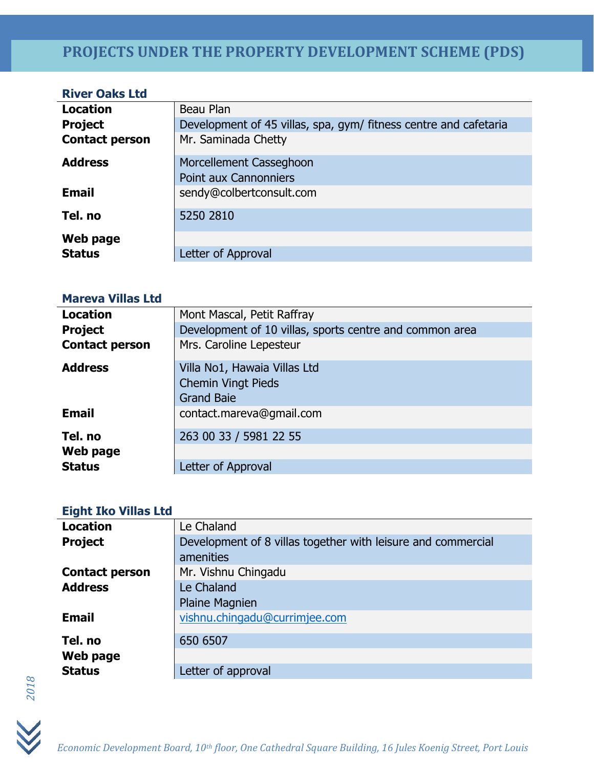### **River Oaks Ltd**

| <b>Location</b>       | Beau Plan                                                        |
|-----------------------|------------------------------------------------------------------|
| <b>Project</b>        | Development of 45 villas, spa, gym/ fitness centre and cafetaria |
| <b>Contact person</b> | Mr. Saminada Chetty                                              |
| <b>Address</b>        | Morcellement Casseghoon                                          |
|                       | <b>Point aux Cannonniers</b>                                     |
| <b>Email</b>          | sendy@colbertconsult.com                                         |
| Tel. no               | 5250 2810                                                        |
| Web page              |                                                                  |
| <b>Status</b>         | Letter of Approval                                               |

#### **Mareva Villas Ltd**

| <b>Location</b>       | Mont Mascal, Petit Raffray                              |
|-----------------------|---------------------------------------------------------|
| <b>Project</b>        | Development of 10 villas, sports centre and common area |
| <b>Contact person</b> | Mrs. Caroline Lepesteur                                 |
| <b>Address</b>        | Villa No1, Hawaia Villas Ltd                            |
|                       | <b>Chemin Vingt Pieds</b>                               |
|                       | <b>Grand Baie</b>                                       |
| <b>Email</b>          | contact.mareva@gmail.com                                |
| Tel. no               | 263 00 33 / 5981 22 55                                  |
| Web page              |                                                         |
| <b>Status</b>         | Letter of Approval                                      |

#### **Eight Iko Villas Ltd**

| <b>Location</b>       | Le Chaland                                                   |
|-----------------------|--------------------------------------------------------------|
| <b>Project</b>        | Development of 8 villas together with leisure and commercial |
|                       | amenities                                                    |
| <b>Contact person</b> | Mr. Vishnu Chingadu                                          |
| <b>Address</b>        | Le Chaland                                                   |
|                       | <b>Plaine Magnien</b>                                        |
| <b>Email</b>          | vishnu.chingadu@currimjee.com                                |
| Tel. no               | 650 6507                                                     |
| Web page              |                                                              |
| <b>Status</b>         | Letter of approval                                           |
|                       |                                                              |